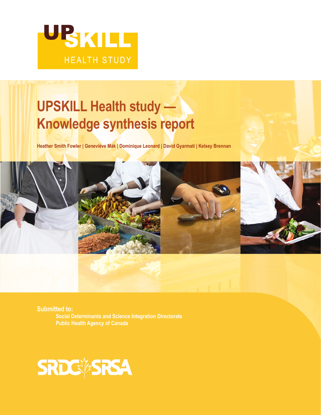

# **UPSKILL Health study — Knowledge synthesis report**

**Heather Smith Fowler | Geneviève Mák | Dominique Leonard | David Gyarmati | Kelsey Brennan** 



**Submitted to: Social Determinants and Science Integration Directorate**

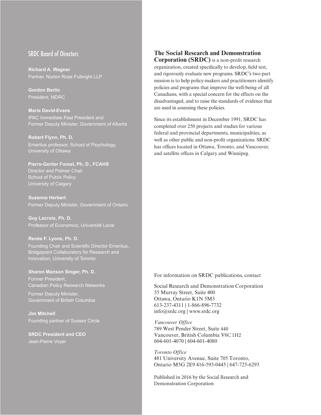## SRDC Board of Directors

**Richard A. Wagner** Partner, Norton Rose Fulbright LLP

**Gordon Berlin** President, MDRC

**Maria David-Evans** IPAC Immediate Past President and Former Deputy Minister, Government of Alberta

**Robert Flynn, Ph. D.** Emeritus professor, School of Psychology, University of Ottawa

**Pierre-Gerlier Forest, Ph. D., FCAHS** Director and Palmer Chair University of Calgary

**Suzanne Herbert** Former Deputy Minister, Government of Ontario

**Guy Lacroix, Ph. D.** Professor of Economics, Université Laval

**Renée F. Lyons, Ph. D.** Founding Chair and Scientific Director Emeritus, Bridgepoint Collaboratory for Research and Innovation, University of Toronto

**Sharon Manson Singer, Ph. D.** Former President,

Former Deputy Minister, Government of British Columbia

**Jim Mitchell** Founding partner of Sussex Circle

**SRDC President and CEO** Jean-Pierre Voyer

# **The Social Research and Demonstration**

**Corporation (SRDC)** is a non-profit research organization, created specifically to develop, field test, and rigorously evaluate new programs. SRDC's two-part mission is to help policy-makers and practitioners identify policies and programs that improve the well-being of all Canadians, with a special concern for the effects on the disadvantaged, and to raise the standards of evidence that are used in assessing these policies.

Since its establishment in December 1991, SRDC has completed over 250 projects and studies for various federal and provincial departments, municipalities, as well as other public and non-profit organizations. SRDC has offices located in Ottawa, Toronto, and Vancouver, and satellite offices in Calgary and Winnipeg.

For information on SRDC publications, contact

Social Research and Demonstration Corporation 55 Murray Street, Suite 400 Ottawa, Ontario K1N 5M3 613-237-4311 | 1-866-896-7732 [info@srdc.org](mailto:info%40srdc.org?subject=) | [www.srdc.org](http://www.srdc.org) 

*Vancouver Office* 789 West Pender Street, Suite 440 Vancouver, British Columbia V6C 1H2 604-601-4070 | 604-601-4080

*Toronto Office* 481 University Avenue, Suite 705 Toronto, Ontario M5G 2E9 416-593-0445 | 647-725-6293

Published in 2016 by the Social Research and Demonstration Corporation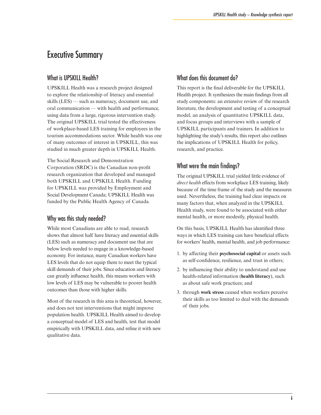# Executive Summary

# What is UPSKILL Health?

UPSKILL Health was a research project designed to explore the relationship of literacy and essential skills (LES) — such as numeracy, document use, and oral communication — with health and performance, using data from a large, rigorous intervention study. The original UPSKILL trial tested the effectiveness of workplace-based LES training for employees in the tourism accommodations sector. While health was one of many outcomes of interest in UPSKILL, this was studied in much greater depth in UPSKILL Health.

The Social Research and Demonstration Corporation (SRDC) is the Canadian non-profit research organization that developed and managed both UPSKILL and UPSKILL Health. Funding for UPSKILL was provided by Employment and Social Development Canada; UPSKILL Health was funded by the Public Health Agency of Canada.

# Why was this study needed?

While most Canadians are able to read, research shows that almost half have literacy and essential skills (LES) such as numeracy and document use that are below levels needed to engage in a knowledge-based economy. For instance, many Canadian workers have LES levels that do not equip them to meet the typical skill demands of their jobs. Since education and literacy can greatly influence health, this means workers with low levels of LES may be vulnerable to poorer health outcomes than those with higher skills.

Most of the research in this area is theoretical, however, and does not test interventions that might improve population health. UPSKILL Health aimed to develop a conceptual model of LES and health, test that model empirically with UPSKILL data, and refine it with new qualitative data.

# What does this document do?

This report is the final deliverable for the UPSKILL Health project. It synthesizes the main findings from all study components: an extensive review of the research literature, the development and testing of a conceptual model, an analysis of quantitative UPSKILL data, and focus groups and interviews with a sample of UPSKILL participants and trainers. In addition to highlighting the study's results, this report also outlines the implications of UPSKILL Health for policy, research, and practice.

# What were the main findings?

The original UPSKILL trial yielded little evidence of *direct health* effects from workplace LES training, likely because of the time frame of the study and the measures used. Nevertheless, the training had clear impacts on many factors that, when analyzed in the UPSKILL Health study, were found to be associated with either mental health, or more modestly, physical health.

On this basis, UPSKILL Health has identified three ways in which LES training can have beneficial effects for workers' health, mental health, and job performance:

- 1. by affecting their **psychosocial capital** or assets such as self-confidence, resilience, and trust in others;
- 2. by influencing their ability to understand and use health-related information (**health literacy**), such as about safe work practices; and
- 3. through **work stress** caused when workers perceive their skills as too limited to deal with the demands of their jobs.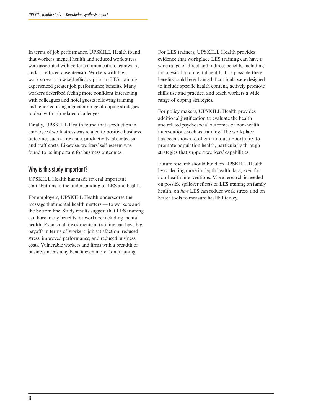In terms of job performance, UPSKILL Health found that workers' mental health and reduced work stress were associated with better communication, teamwork, and/or reduced absenteeism. Workers with high work stress or low self-efficacy prior to LES training experienced greater job performance benefits. Many workers described feeling more confident interacting with colleagues and hotel guests following training, and reported using a greater range of coping strategies to deal with job-related challenges.

Finally, UPSKILL Health found that a reduction in employees' work stress was related to positive business outcomes such as revenue, productivity, absenteeism and staff costs. Likewise, workers' self-esteem was found to be important for business outcomes.

# Why is this study important?

UPSKILL Health has made several important contributions to the understanding of LES and health.

For employers, UPSKILL Health underscores the message that mental health matters — to workers and the bottom line. Study results suggest that LES training can have many benefits for workers, including mental health. Even small investments in training can have big payoffs in terms of workers' job satisfaction, reduced stress, improved performance, and reduced business costs. Vulnerable workers and firms with a breadth of business needs may benefit even more from training.

For LES trainers, UPSKILL Health provides evidence that workplace LES training can have a wide range of direct and indirect benefits, including for physical and mental health. It is possible these benefits could be enhanced if curricula were designed to include specific health content, actively promote skills use and practice, and teach workers a wide range of coping strategies.

For policy makers, UPSKILL Health provides additional justification to evaluate the health and related psychosocial outcomes of non-health interventions such as training. The workplace has been shown to offer a unique opportunity to promote population health, particularly through strategies that support workers' capabilities.

Future research should build on UPSKILL Health by collecting more in-depth health data, even for non-health interventions. More research is needed on possible spillover effects of LES training on family health, on *how* LES can reduce work stress, and on better tools to measure health literacy.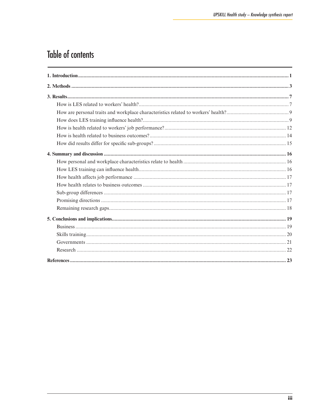# **Table of contents**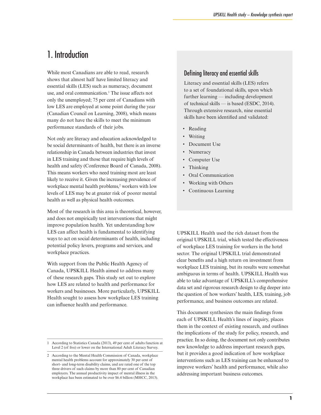# 1. Introduction

While most Canadians are able to read, research shows that almost half have limited literacy and essential skills (LES) such as numeracy, document use, and oral communication.1 The issue affects not only the unemployed; 75 per cent of Canadians with low LES are employed at some point during the year (Canadian Council on Learning, 2008), which means many do not have the skills to meet the minimum performance standards of their jobs.

Not only are literacy and education acknowledged to be social determinants of health, but there is an inverse relationship in Canada between industries that invest in LES training and those that require high levels of health and safety (Conference Board of Canada, 2008). This means workers who need training most are least likely to receive it. Given the increasing prevalence of workplace mental health problems,<sup>2</sup> workers with low levels of LES may be at greater risk of poorer mental health as well as physical health outcomes.

Most of the research in this area is theoretical, however, and does not empirically test interventions that might improve population health. Yet understanding how LES can affect health is fundamental to identifying ways to act on social determinants of health, including potential policy levers, programs and services, and workplace practices.

With support from the Public Health Agency of Canada, UPSKILL Health aimed to address many of these research gaps. This study set out to explore how LES are related to health and performance for workers and businesses. More particularly, UPSKILL Health sought to assess how workplace LES training can influence health and performance.

# Defining literacy and essential skills

Literacy and essential skills (LES) refers to a set of foundational skills, upon which further learning — including development of technical skills — is based (ESDC, 2014). Through extensive research, nine essential skills have been identified and validated:

- Reading
- Writing
- Document Use
- **Numeracy**
- Computer Use
- Thinking
- Oral Communication
- Working with Others
- Continuous Learning

UPSKILL Health used the rich dataset from the original UPSKILL trial, which tested the effectiveness of workplace LES training for workers in the hotel sector. The original UPSKILL trial demonstrated clear benefits and a high return on investment from workplace LES training, but its results were somewhat ambiguous in terms of health. UPSKILL Health was able to take advantage of UPSKILL's comprehensive data set and rigorous research design to dig deeper into the question of how workers' health, LES, training, job performance, and business outcomes are related.

This document synthesizes the main findings from each of UPSKILL Health's lines of inquiry, places them in the context of existing research, and outlines the implications of the study for policy, research, and practice. In so doing, the document not only contributes new knowledge to address important research gaps, but it provides a good indication of how workplace interventions such as LES training can be enhanced to improve workers' health and performance, while also addressing important business outcomes.

<sup>1</sup> According to Statistics Canada (2013), 49 per cent of adults function at Level 2 (of five) or lower on the International Adult Literacy Survey.

<sup>2</sup> According to the Mental Health Commission of Canada, workplace mental health problems account for approximately 30 per cent of short- and long-term disability claims, and are rated one of the top three drivers of such claims by more than 80 per cent of Canadian employers. The annual productivity impact of mental illness in the workplace has been estimated to be over \$6.4 billion (MHCC, 2013).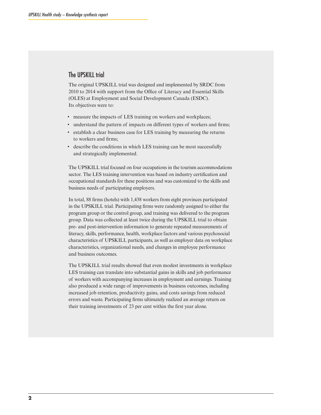### The UPSKILL trial

The original UPSKILL trial was designed and implemented by SRDC from 2010 to 2014 with support from the Office of Literacy and Essential Skills (OLES) at Employment and Social Development Canada (ESDC). Its objectives were to:

- measure the impacts of LES training on workers and workplaces;
- understand the pattern of impacts on different types of workers and firms;
- • establish a clear business case for LES training by measuring the returns to workers and firms;
- • describe the conditions in which LES training can be most successfully and strategically implemented.

The UPSKILL trial focused on four occupations in the tourism accommodations sector. The LES training intervention was based on industry certification and occupational standards for these positions and was customized to the skills and business needs of participating employers.

In total, 88 firms (hotels) with 1,438 workers from eight provinces participated in the UPSKILL trial. Participating firms were randomly assigned to either the program group or the control group, and training was delivered to the program group. Data was collected at least twice during the UPSKILL trial to obtain pre- and post-intervention information to generate repeated measurements of literacy, skills, performance, health, workplace factors and various psychosocial characteristics of UPSKILL participants, as well as employer data on workplace characteristics, organizational needs, and changes in employee performance and business outcomes.

The UPSKILL trial results showed that even modest investments in workplace LES training can translate into substantial gains in skills and job performance of workers with accompanying increases in employment and earnings. Training also produced a wide range of improvements in business outcomes, including increased job retention, productivity gains, and costs savings from reduced errors and waste. Participating firms ultimately realized an average return on their training investments of 23 per cent within the first year alone.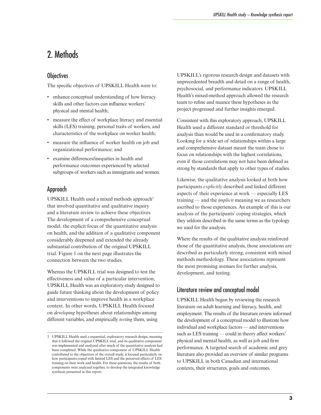# 2. Methods

# **Objectives**

The specific objectives of UPSKILL Health were to:

- enhance conceptual understanding of how literacy skills and other factors can influence workers' physical and mental health;
- measure the effect of workplace literacy and essential skills (LES) training, personal traits of workers, and characteristics of the workplace on worker health;
- measure the influence of worker health on job and organizational performance; and
- examine differences/inequities in health and performance outcomes experienced by selected subgroups of workers such as immigrants and women.

## Approach

UPSKILL Health used a mixed methods approach<sup>3</sup> that involved quantitative and qualitative inquiry and a literature review to achieve these objectives. The development of a comprehensive conceptual model, the explicit focus of the quantitative analysis on health, and the addition of a qualitative component considerably deepened and extended the already substantial contribution of the original UPSKILL trial. Figure 1 on the next page illustrates the connection between the two studies.

Whereas the UPSKILL trial was designed to test the effectiveness and value of a particular intervention, UPSKILL Health was an exploratory study designed to guide future thinking about the development of policy and interventions to improve health in a workplace context. In other words, UPSKILL Health focused on *developing* hypotheses about relationships among different variables, and empirically *testing* them, using

UPSKILL's rigorous research design and datasets with unprecedented breadth and detail on a range of health, psychosocial, and performance indicators. UPSKILL Health's mixed-method approach allowed the research team to refine and nuance these hypotheses as the project progressed and further insights emerged.

Consistent with this exploratory approach, UPSKILL Health used a different standard or threshold for analysis than would be used in a confirmatory study. Looking for a wide set of relationships within a large and comprehensive dataset meant the team chose to focus on relationships with the highest correlations, even if those correlations may not have been defined as strong by standards that apply to other types of studies.

Likewise, the qualitative analysis looked at both how participants *explicitly* described and linked different aspects of their experience at work — especially LES training — and the *implicit* meaning we as researchers ascribed to those experiences. An example of this is our analysis of the participants' coping strategies, which they seldom described in the same terms as the typology we used for the analysis.

Where the results of the qualitative analysis reinforced those of the quantitative analysis, those associations are described as particularly strong, consistent with mixed methods methodology. These associations represent the most promising avenues for further analysis, development, and testing.

# Literature review and conceptual model

UPSKILL Health began by reviewing the research literature on adult learning and literacy, health, and employment. The results of the literature review informed the development of a conceptual model to illustrate how individual and workplace factors — and interventions such as LES training — could in theory affect workers' physical and mental health, as well as job and firm performance. A targeted search of academic and grey literature also provided an overview of similar programs to UPSKILL in both Canadian and international contexts, their structures, goals and outcomes.

<sup>3</sup> UPSKILL Health used a sequential, exploratory research design, meaning that it followed the original UPSKILL trial, and its qualitative component was implemented and analyzed after much of the quantitative analysis had been completed. While the qualitative component of UPSKILL Health contributed to the objectives of the overall study, it focused particularly on how participants coped with limited LES and the perceived effects of LES training on their work and health. For these questions, the results of both components were analyzed together, to develop the integrated knowledge synthesis presented in this report.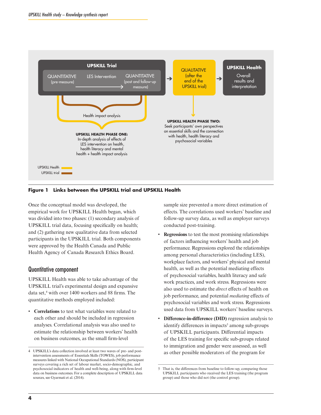

**Figure 1 Links between the UPSKILL trial and UPSKILL Health**

Once the conceptual model was developed, the empirical work for UPSKILL Health began, which was divided into two phases: (1) secondary analysis of UPSKILL trial data, focusing specifically on health; and (2) gathering new qualitative data from selected participants in the UPSKILL trial. Both components were approved by the Health Canada and Public Health Agency of Canada Research Ethics Board.

### Quantitative component

UPSKILL Health was able to take advantage of the UPSKILL trial's experimental design and expansive data set,4 with over 1400 workers and 88 firms. The quantitative methods employed included:

• **Correlations** to test what variables were related to each other and should be included in regression analyses. Correlational analysis was also used to estimate the relationship between workers' health on business outcomes, as the small firm-level

sample size prevented a more direct estimation of effects. The correlations used workers' baseline and follow-up survey data, as well as employer surveys conducted post-training.

- **Regressions** to test the most promising relationships of factors influencing workers' health and job performance. Regressions explored the relationships among personal characteristics (including LES), workplace factors, and workers' physical and mental health, as well as the potential mediating effects of psychosocial variables, health literacy and safe work practices, and work stress. Regressions were also used to estimate the *direct* effects of health on job performance, and potential *mediating* effects of psychosocial variables and work stress. Regressions used data from UPSKILL workers' baseline surveys.
- **Difference-in-difference (DID)** regression analysis to identify differences in impacts<sup>5</sup> among sub-groups of UPSKILL participants. Differential impacts of the LES training for specific sub-groups related to immigration and gender were assessed, as well as other possible moderators of the program for

<sup>4</sup> UPSKILL's data collection involved at least two waves of pre- and postintervention assessments of Essentials Skills (TOWES), job performance measures linked with National Occupational Standards (NOS), participant surveys covering a rich set of labour market, socio-demographic, and psychosocial indicators of health and well-being, along with firm-level data on business outcomes. For a complete description of UPSKILL data sources, see Gyarmati et al. (2014).

<sup>5</sup> That is, the differences from baseline to follow-up, comparing those UPSKILL participants who received the LES training (the program group) and those who did not (the control group).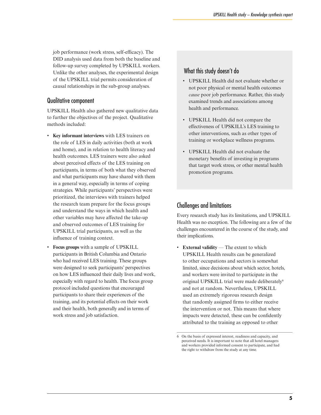job performance (work stress, self-efficacy). The DID analysis used data from both the baseline and follow-up survey completed by UPSKILL workers. Unlike the other analyses, the experimental design of the UPSKILL trial permits consideration of causal relationships in the sub-group analyses.

### Qualitative component

UPSKILL Health also gathered new qualitative data to further the objectives of the project. Qualitative methods included:

- • **Key informant interviews** with LES trainers on the role of LES in daily activities (both at work and home), and in relation to health literacy and health outcomes. LES trainers were also asked about perceived effects of the LES training on participants, in terms of both what they observed and what participants may have shared with them in a general way, especially in terms of coping strategies. While participants' perspectives were prioritized, the interviews with trainers helped the research team prepare for the focus groups and understand the ways in which health and other variables may have affected the take-up and observed outcomes of LES training for UPSKILL trial participants, as well as the influence of training context.
- • **Focus groups** with a sample of UPSKILL participants in British Columbia and Ontario who had received LES training. These groups were designed to seek participants' perspectives on how LES influenced their daily lives and work, especially with regard to health. The focus group protocol included questions that encouraged participants to share their experiences of the training, and its potential effects on their work and their health, both generally and in terms of work stress and job satisfaction.

# What this study doesn't do

- • UPSKILL Health did not evaluate whether or not poor physical or mental health outcomes *cause* poor job performance. Rather, this study examined trends and associations among health and performance.
- • UPSKILL Health did not compare the effectiveness of UPSKILL's LES training to other interventions, such as other types of training or workplace wellness programs.
- • UPSKILL Health did not evaluate the monetary benefits of investing in programs that target work stress, or other mental health promotion programs.

# Challenges and limitations

Every research study has its limitations, and UPSKILL Health was no exception. The following are a few of the challenges encountered in the course of the study, and their implications.

• **External validity** — The extent to which UPSKILL Health results can be generalized to other occupations and sectors is somewhat limited, since decisions about which sector, hotels, and workers were invited to participate in the original UPSKILL trial were made deliberately<sup>6</sup> and not at random. Nevertheless, UPSKILL used an extremely rigorous research design that randomly assigned firms to either receive the intervention or not. This means that where impacts were detected, these can be confidently attributed to the training as opposed to other

<sup>6</sup> On the basis of expressed interest, readiness and capacity, and perceived needs. It is important to note that all hotel managers and workers provided informed consent to participate, and had the right to withdraw from the study at any time.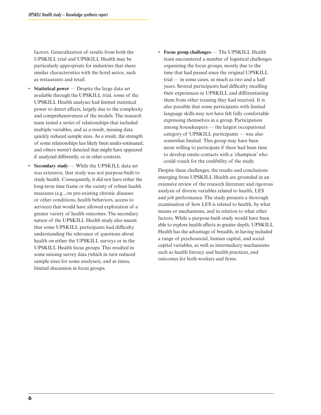factors. Generalization of results from both the UPSKILL trial and UPSKILL Health may be particularly appropriate for industries that share similar characteristics with the hotel sector, such as restaurants and retail.

- **Statistical power** Despite the large data set available through the UPSKILL trial, some of the UPSKILL Health analyses had limited statistical power to detect effects, largely due to the complexity and comprehensiveness of the models. The research team tested a series of relationships that included multiple variables, and as a result, missing data quickly reduced sample sizes. As a result, the strength of some relationships has likely been under-estimated, and others weren't detected that might have appeared if analyzed differently, or in other contexts.
- **Secondary study While the UPSKILL data set** was extensive, that study was not purpose-built to study health. Consequently, it did not have either the long-term time frame or the variety of robust health measures (e.g., on pre-existing chronic diseases or other conditions, health behaviors, access to services) that would have allowed exploration of a greater variety of health outcomes. The secondary nature of the UPSKILL Health study also meant that some UPSKILL participants had difficulty understanding the relevance of questions about health on either the UPSKILL surveys or in the UPSKILL Health focus groups. This resulted in some missing survey data (which in turn reduced sample sizes for some analyses), and at times, limited discussion in focus groups.
- • **Focus group challenges**  The UPSKILL Health team encountered a number of logistical challenges organizing the focus groups, mostly due to the time that had passed since the original UPSKILL trial — in some cases, as much as two and a half years. Several participants had difficulty recalling their experiences in UPSKILL and differentiating them from other training they had received. It is also possible that some participants with limited language skills may not have felt fully comfortable expressing themselves in a group. Participation among housekeepers — the largest occupational category of UPSKILL participants — was also somewhat limited. This group may have been more willing to participate if there had been time to develop onsite contacts with a 'champion' who could vouch for the credibility of the study.

Despite these challenges, the results and conclusions emerging from UPSKILL Health are grounded in an extensive review of the research literature and rigorous analysis of diverse variables related to health, LES and job performance. The study presents a thorough examination of how LES is related to health, by what means or mechanisms, and in relation to what other factors. While a purpose-built study would have been able to explore health effects in greater depth, UPSKILL Health has the advantage of breadth, in having included a range of psychosocial, human capital, and social capital variables, as well as intermediary mechanisms such as health literacy and health practices, and outcomes for both workers and firms.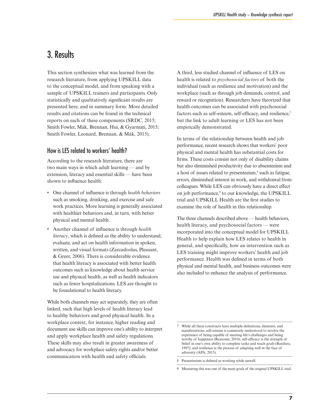# 3. Results

This section synthesizes what was learned from the research literature, from applying UPSKILL data to the conceptual model, and from speaking with a sample of UPSKILL trainers and participants. Only statistically and qualitatively significant results are presented here, and in summary form. More detailed results and citations can be found in the technical reports on each of these components (SRDC, 2015; Smith Fowler, Mák, Brennan, Hui, & Gyarmati, 2015; Smith Fowler, Leonard, Brennan, & Mák, 2015).

# How is LES related to workers' health?

According to the research literature, there are two main ways in which adult learning — and by extension, literacy and essential skills — have been shown to influence health:

- • One channel of influence is through *health behaviors*  such as smoking, drinking, and exercise and safe work practices. More learning is generally associated with healthier behaviors and, in turn, with better physical and mental health.
- • Another channel of influence is through *health literacy*, which is defined as the ability to understand, evaluate, and act on health information in spoken, written, and visual formats (Zarcadoolas, Pleasant, & Greer, 2006). There is considerable evidence that health literacy is associated with better health outcomes such as knowledge about health service use and physical health, as well as health indicators such as fewer hospitalizations. LES are thought to be foundational to health literacy.

While both channels may act separately, they are often linked, such that high levels of health literacy lead to healthy behaviors and good physical health. In a workplace context, for instance, higher reading and document use skills can improve one's ability to interpret and apply workplace health and safety regulations. These skills may also result in greater awareness of and advocacy for workplace safety rights and/or better communication with health and safety officials.

A third, less studied channel of influence of LES on health is related to *psychosocial factors* of both the individual (such as resilience and motivation) and the workplace (such as through job demands, control, and reward or recognition). Researchers have theorized that health outcomes can be associated with psychosocial factors such as self-esteem, self-efficacy, and resilience.<sup>7</sup> but the link to adult learning or LES has not been empirically demonstrated.

In terms of the relationship between health and job performance, recent research shows that workers' poor physical and mental health has substantial costs for firms. These costs consist not only of disability claims but also diminished productivity due to absenteeism and a host of issues related to presenteeism,<sup>8</sup> such as fatigue, errors, diminished interest in work, and withdrawal from colleagues. While LES can obviously have a direct effect on job performance,<sup>9</sup> to our knowledge, the UPSKILL trial and UPSKILL Health are the first studies to examine the role of health in this relationship.

The three channels described above — health behaviors, health literacy, and psychosocial factors — were incorporated into the conceptual model for UPSKILL Health to help explain how LES relates to health in general, and specifically, how an intervention such as LES training might improve workers' health and job performance. Health was defined in terms of both physical and mental health, and business outcomes were also included to enhance the analysis of performance.

8 Presenteeism is defined as working while unwell.

9 Measuring this was one of the main goals of the original UPSKILL trial.

<sup>7</sup> While all these constructs have multiple definitions, elements, and manifestations, self-esteem is commonly understood to involve the experience of being capable of meeting life's challenges and being worthy of happiness (Reasoner, 2010); self-efficacy is the strength of belief in one's own ability to complete tasks and reach goals (Bandura, 1997); and resilience is the process of adapting well in the face of adversity (APA, 2015).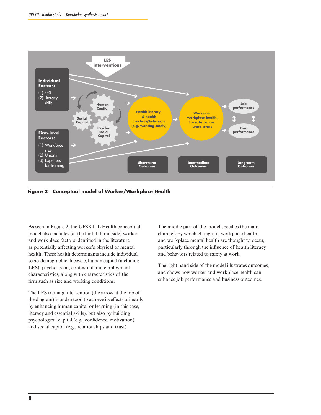

**Figure 2 Conceptual model of Worker/Workplace Health**

As seen in Figure 2, the UPSKILL Health conceptual model also includes (at the far left hand side) worker and workplace factors identified in the literature as potentially affecting worker's physical or mental health. These health determinants include individual socio-demographic, lifecycle, human capital (including LES), psychosocial, contextual and employment characteristics, along with characteristics of the firm such as size and working conditions.

The LES training intervention (the arrow at the top of the diagram) is understood to achieve its effects primarily by enhancing human capital or learning (in this case, literacy and essential skills), but also by building psychological capital (e.g., confidence, motivation) and social capital (e.g., relationships and trust).

The middle part of the model specifies the main channels by which changes in workplace health and workplace mental health are thought to occur, particularly through the influence of health literacy and behaviors related to safety at work.

The right hand side of the model illustrates outcomes, and shows how worker and workplace health can enhance job performance and business outcomes.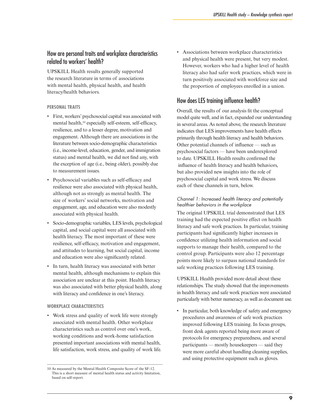# How are personal traits and workplace characteristics related to workers' health?

UPSKILL Health results generally supported the research literature in terms of associations with mental health, physical health, and health literacy/health behaviors.

### **PERSONAL TRAITS**

- • First, workers' psychosocial capital was associated with mental health,<sup>10</sup> especially self-esteem, self-efficacy, resilience, and to a lesser degree, motivation and engagement. Although there are associations in the literature between socio-demographic characteristics (i.e., income-level, education, gender, and immigration status) and mental health, we did not find any, with the exception of age (i.e., being older), possibly due to measurement issues.
- • Psychosocial variables such as self-efficacy and resilience were also associated with physical health, although not as strongly as mental health. The size of workers' social networks, motivation and engagement, age, and education were also modestly associated with physical health.
- • Socio-demographic variables, LES levels, psychological capital, and social capital were all associated with health literacy. The most important of these were resilience, self-efficacy, motivation and engagement, and attitudes to learning, but social capital, income and education were also significantly related.
- In turn, health literacy was associated with better mental health, although mechanisms to explain this association are unclear at this point. Health literacy was also associated with better physical health, along with literacy and confidence in one's literacy.

### **WORKPLACE CHARACTERISTICS**

• Work stress and quality of work life were strongly associated with mental health. Other workplace characteristics such as control over one's work, working conditions and work-home satisfaction presented important associations with mental health, life satisfaction, work stress, and quality of work life. • Associations between workplace characteristics and physical health were present, but very modest. However, workers who had a higher level of health literacy also had safer work practices, which were in turn positively associated with workforce size and the proportion of employees enrolled in a union.

# How does LES training influence health?

Overall, the results of our analysis fit the conceptual model quite well, and in fact, expanded our understanding in several areas. As noted above, the research literature indicates that LES improvements have health effects primarily through health literacy and health behaviors. Other potential channels of influence — such as psychosocial factors — have been underexplored to date. UPSKILL Health results confirmed the influence of health literacy and health behaviors, but also provided new insights into the role of psychosocial capital and work stress. We discuss each of these channels in turn, below.

### *Channel 1: Increased health literacy and potentially healthier behaviors in the workplace*

The original UPSKILL trial demonstrated that LES training had the expected positive effect on health literacy and safe work practices. In particular, training participants had significantly higher increases in confidence utilizing health information and social supports to manage their health, compared to the control group. Participants were also 12 percentage points more likely to surpass national standards for safe working practices following LES training.

UPSKILL Health provided more detail about these relationships. The study showed that the improvements in health literacy and safe work practices were associated particularly with better numeracy, as well as document use.

• In particular, both knowledge of safety and emergency procedures and awareness of safe work practices improved following LES training. In focus groups, front desk agents reported being more aware of protocols for emergency preparedness, and several participants — mostly housekeepers — said they were more careful about handling cleaning supplies, and using protective equipment such as gloves.

<sup>10</sup> As measured by the Mental Health Composite Score of the SF-12. This is a short measure of mental health status and activity limitation, based on self-report.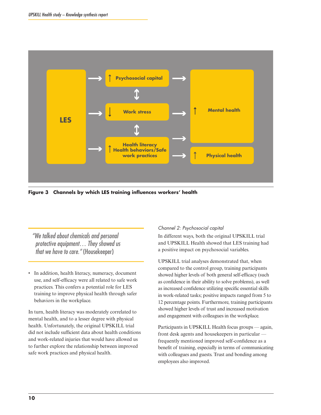

**Figure 3 Channels by which LES training influences workers' health**

*"We talked about chemicals and personal protective equipment… They showed us that we have to care."* (Housekeeper)

• In addition, health literacy, numeracy, document use, and self-efficacy were all related to safe work practices. This confers a potential role for LES training to improve physical health through safer behaviors in the workplace.

In turn, health literacy was moderately correlated to mental health, and to a lesser degree with physical health. Unfortunately, the original UPSKILL trial did not include sufficient data about health conditions and work-related injuries that would have allowed us to further explore the relationship between improved safe work practices and physical health.

### *Channel 2: Psychosocial capital*

In different ways, both the original UPSKILL trial and UPSKILL Health showed that LES training had a positive impact on psychosocial variables.

UPSKILL trial analyses demonstrated that, when compared to the control group, training participants showed higher levels of both general self-efficacy (such as confidence in their ability to solve problems), as well as increased confidence utilizing specific essential skills in work-related tasks; positive impacts ranged from 5 to 12 percentage points. Furthermore, training participants showed higher levels of trust and increased motivation and engagement with colleagues in the workplace.

Participants in UPSKILL Health focus groups — again, front desk agents and housekeepers in particular frequently mentioned improved self-confidence as a benefit of training, especially in terms of communicating with colleagues and guests. Trust and bonding among employees also improved.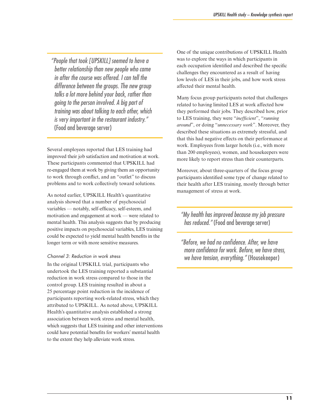*"People that took [UPSKILL] seemed to have a better relationship than new people who came in after the course was offered. I can tell the difference between the groups. The new group talks a lot more behind your back, rather than going to the person involved. A big part of training was about talking to each other, which is very important in the restaurant industry."*  (Food and beverage server)

Several employees reported that LES training had improved their job satisfaction and motivation at work. These participants commented that UPSKILL had re-engaged them at work by giving them an opportunity to work through conflict, and an "outlet" to discuss problems and to work collectively toward solutions.

As noted earlier, UPSKILL Health's quantitative analysis showed that a number of psychosocial variables — notably, self-efficacy, self-esteem, and motivation and engagement at work — were related to mental health. This analysis suggests that by producing positive impacts on psychosocial variables, LES training could be expected to yield mental health benefits in the longer term or with more sensitive measures.

### *Channel 3: Reduction in work stress*

In the original UPSKILL trial, participants who undertook the LES training reported a substantial reduction in work stress compared to those in the control group. LES training resulted in about a 25 percentage point reduction in the incidence of participants reporting work-related stress, which they attributed to UPSKILL. As noted above, UPSKILL Health's quantitative analysis established a strong association between work stress and mental health, which suggests that LES training and other interventions could have potential benefits for workers' mental health to the extent they help alleviate work stress.

One of the unique contributions of UPSKILL Health was to explore the ways in which participants in each occupation identified and described the specific challenges they encountered as a result of having low levels of LES in their jobs, and how work stress affected their mental health.

Many focus group participants noted that challenges related to having limited LES at work affected how they performed their jobs. They described how, prior to LES training, they were "*inefficient*", "*running around*", or doing "*unnecessary work*". Moreover, they described these situations as extremely stressful, and that this had negative effects on their performance at work. Employees from larger hotels (i.e., with more than 200 employees), women, and housekeepers were more likely to report stress than their counterparts.

Moreover, about three-quarters of the focus group participants identified some type of change related to their health after LES training, mostly through better management of stress at work.

*"My health has improved because my job pressure has reduced."* (Food and beverage server)

*"Before, we had no confidence. After, we have more confidence for work. Before, we have stress, we have tension, everything."* (Housekeeper)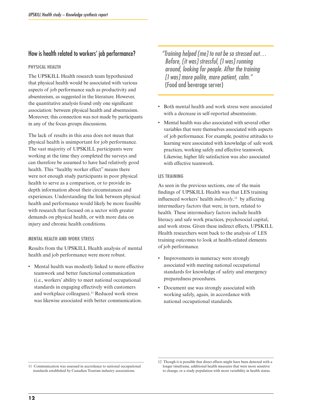# How is health related to workers' job performance?

### **PHYSICAL HEALTH**

The UPSKILL Health research team hypothesized that physical health would be associated with various aspects of job performance such as productivity and absenteeism, as suggested in the literature. However, the quantitative analysis found only one significant association: between physical health and absenteeism. Moreover, this connection was not made by participants in any of the focus groups discussions.

The lack of results in this area does not mean that physical health is unimportant for job performance. The vast majority of UPSKILL participants were working at the time they completed the surveys and can therefore be assumed to have had relatively good health. This "healthy worker effect" means there were not enough study participants in poor physical health to serve as a comparison, or to provide indepth information about their circumstances and experiences. Understanding the link between physical health and performance would likely be more feasible with research that focused on a sector with greater demands on physical health, or with more data on injury and chronic health conditions.

#### **MENTAL HEALTH AND WORK STRESS**

Results from the UPSKILL Health analysis of mental health and job performance were more robust.

• Mental health was modestly linked to more effective teamwork and better functional communication (i.e., workers' ability to meet national occupational standards in engaging effectively with customers and workplace colleagues).<sup>11</sup> Reduced work stress was likewise associated with better communication.

*"Training helped [me] to not be so stressed out… Before, [it was] stressful, [I was] running around, looking for people. After the training [I was] more polite, more patient, calm."*  (Food and beverage server)

- Both mental health and work stress were associated with a decrease in self-reported absenteeism.
- Mental health was also associated with several other variables that were themselves associated with aspects of job performance. For example, positive attitudes to learning were associated with knowledge of safe work practices, working safely and effective teamwork. Likewise, higher life satisfaction was also associated with effective teamwork.

### **LES TRAINING**

As seen in the previous sections, one of the main findings of UPSKILL Health was that LES training influenced workers' health *indirectly*, 12 by affecting intermediary factors that were, in turn, related to health. These intermediary factors include health literacy and safe work practices, psychosocial capital, and work stress. Given these indirect effects, UPSKILL Health researchers went back to the analysis of LES training outcomes to look at health-related elements of job performance.

- Improvements in numeracy were strongly associated with meeting national occupational standards for knowledge of safety and emergency preparedness procedures.
- Document use was strongly associated with working safely, again, in accordance with national occupational standards.

<sup>11</sup> Communication was assessed in accordance to national occupational standards established by Canadian Tourism industry associations.

<sup>12</sup> Though it is possible that direct effects might have been detected with a longer timeframe, additional health measures that were more sensitive to change, or a study population with more variability in health status.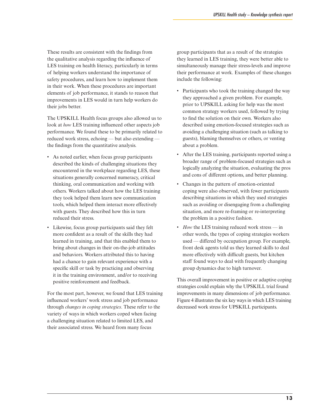These results are consistent with the findings from the qualitative analysis regarding the influence of LES training on health literacy, particularly in terms of helping workers understand the importance of safety procedures, and learn how to implement them in their work. When these procedures are important elements of job performance, it stands to reason that improvements in LES would in turn help workers do their jobs better.

The UPSKILL Health focus groups also allowed us to look at *how* LES training influenced other aspects job performance. We found these to be primarily related to reduced work stress, echoing — but also extending the findings from the quantitative analysis.

- As noted earlier, when focus group participants described the kinds of challenging situations they encountered in the workplace regarding LES, these situations generally concerned numeracy, critical thinking, oral communication and working with others. Workers talked about how the LES training they took helped them learn new communication tools, which helped them interact more effectively with guests. They described how this in turn reduced their stress.
- Likewise, focus group participants said they felt more confident as a result of the skills they had learned in training, and that this enabled them to bring about changes in their on-the-job attitudes and behaviors. Workers attributed this to having had a chance to gain relevant experience with a specific skill or task by practicing and observing it in the training environment, and/or to receiving positive reinforcement and feedback.

For the most part, however, we found that LES training influenced workers' work stress and job performance through *changes in coping strategies*. These refer to the variety of ways in which workers coped when facing a challenging situation related to limited LES, and their associated stress. We heard from many focus

group participants that as a result of the strategies they learned in LES training, they were better able to simultaneously manage their stress-levels and improve their performance at work. Examples of these changes include the following:

- Participants who took the training changed the way they approached a given problem. For example, prior to UPSKILL asking for help was the most common strategy workers used, followed by trying to find the solution on their own. Workers also described using emotion-focused strategies such as avoiding a challenging situation (such as talking to guests), blaming themselves or others, or venting about a problem.
- After the LES training, participants reported using a broader range of problem-focused strategies such as logically analyzing the situation, evaluating the pros and cons of different options, and better planning.
- Changes in the pattern of emotion-oriented coping were also observed, with fewer participants describing situations in which they used strategies such as avoiding or disengaging from a challenging situation, and more re-framing or re-interpreting the problem in a positive fashion.
- *How* the LES training reduced work stress in other words, the types of coping strategies workers used — differed by occupation group. For example, front desk agents told us they learned skills to deal more effectively with difficult guests, but kitchen staff found ways to deal with frequently changing group dynamics due to high turnover.

This overall improvement in positive or adaptive coping strategies could explain why the UPSKILL trial found improvements in many dimensions of job performance. Figure 4 illustrates the six key ways in which LES training decreased work stress for UPSKILL participants.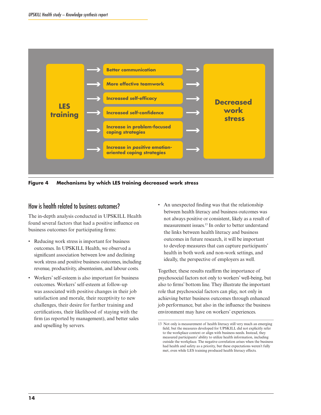

**Figure 4 Mechanisms by which LES training decreased work stress**

### How is health related to business outcomes?

The in-depth analysis conducted in UPSKILL Health found several factors that had a positive influence on business outcomes for participating firms:

- Reducing work stress is important for business outcomes. In UPSKILL Health, we observed a significant association between low and declining work stress and positive business outcomes, including revenue, productivity, absenteeism, and labour costs.
- Workers' self-esteem is also important for business outcomes. Workers' self-esteem at follow-up was associated with positive changes in their job satisfaction and morale, their receptivity to new challenges, their desire for further training and certifications, their likelihood of staying with the firm (as reported by management), and better sales and upselling by servers.
- An unexpected finding was that the relationship between health literacy and business outcomes was not always positive or consistent, likely as a result of measurement issues.13 In order to better understand the links between health literacy and business outcomes in future research, it will be important to develop measures that can capture participants' health in both work and non-work settings, and ideally, the perspective of employers as well.

Together, these results reaffirm the importance of psychosocial factors not only to workers' well-being, but also to firms' bottom line. They illustrate the important role that psychosocial factors can play, not only in achieving better business outcomes through enhanced job performance, but also in the influence the business environment may have on workers' experiences.

<sup>13</sup> Not only is measurement of health literacy still very much an emerging field, but the measures developed for UPSKILL did not explicitly refer to the workplace context or align with business needs. Instead, they measured participants' ability to utilize health information, including outside the workplace. The negative correlation arises when the business had health and safety as a priority, but these expectations weren't fully met, even while LES training produced health literacy effects.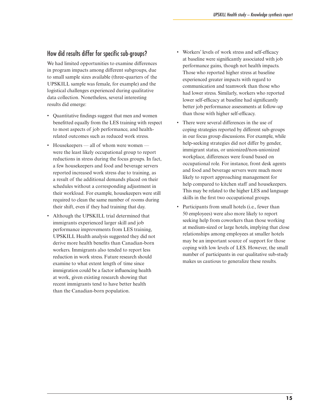# How did results differ for specific sub-groups?

We had limited opportunities to examine differences in program impacts among different subgroups, due to small sample sizes available (three-quarters of the UPSKILL sample was female, for example) and the logistical challenges experienced during qualitative data collection. Nonetheless, several interesting results did emerge:

- Quantitative findings suggest that men and women benefitted equally from the LES training with respect to most aspects of job performance, and healthrelated outcomes such as reduced work stress.
- Housekeepers all of whom were women were the least likely occupational group to report reductions in stress during the focus groups. In fact, a few housekeepers and food and beverage servers reported increased work stress due to training, as a result of the additional demands placed on their schedules without a corresponding adjustment in their workload. For example, housekeepers were still required to clean the same number of rooms during their shift, even if they had training that day.
- • Although the UPSKILL trial determined that immigrants experienced larger skill and job performance improvements from LES training, UPSKILL Health analysis suggested they did not derive more health benefits than Canadian-born workers. Immigrants also tended to report less reduction in work stress. Future research should examine to what extent length of time since immigration could be a factor influencing health at work, given existing research showing that recent immigrants tend to have better health than the Canadian-born population.
- • Workers' levels of work stress and self-efficacy at baseline were significantly associated with job performance gains, though not health impacts. Those who reported higher stress at baseline experienced greater impacts with regard to communication and teamwork than those who had lower stress. Similarly, workers who reported lower self-efficacy at baseline had significantly better job performance assessments at follow-up than those with higher self-efficacy.
- There were several differences in the use of coping strategies reported by different sub-groups in our focus group discussions. For example, while help-seeking strategies did not differ by gender, immigrant status, or unionized/non-unionized workplace, differences were found based on occupational role. For instance, front desk agents and food and beverage servers were much more likely to report approaching management for help compared to kitchen staff and housekeepers. This may be related to the higher LES and language skills in the first two occupational groups.
- Participants from small hotels (i.e., fewer than 50 employees) were also more likely to report seeking help from coworkers than those working at medium-sized or large hotels, implying that close relationships among employees at smaller hotels may be an important source of support for those coping with low levels of LES. However, the small number of participants in our qualitative sub-study makes us cautious to generalize these results.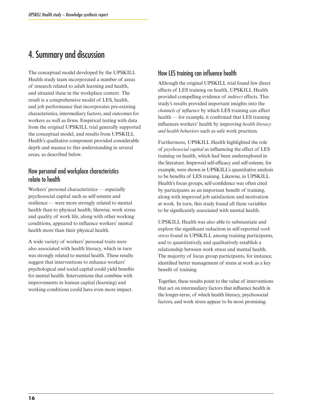# 4. Summary and discussion

The conceptual model developed by the UPSKILL Health study team incorporated a number of areas of research related to adult learning and health, and situated these in the workplace context. The result is a comprehensive model of LES, health, and job performance that incorporates pre-existing characteristics, intermediary factors, and outcomes for workers as well as firms. Empirical testing with data from the original UPSKILL trial generally supported the conceptual model, and results from UPSKILL Health's qualitative component provided considerable depth and nuance to this understanding in several areas, as described below.

# How personal and workplace characteristics relate to health

Workers' personal characteristics — especially psychosocial capital such as self-esteem and resilience — were more strongly related to mental health than to physical health; likewise, work stress and quality of work life, along with other working conditions, appeared to influence workers' mental health more than their physical health.

A wide variety of workers' personal traits were also associated with health literacy, which in turn was strongly related to mental health. These results suggest that interventions to enhance workers' psychological and social capital could yield benefits for mental health. Interventions that combine with improvements in human capital (learning) and working conditions could have even more impact.

### How LES training can influence health

Although the original UPSKILL trial found few direct effects of LES training on health, UPSKILL Health provided compelling evidence of *indirect* effects. This study's results provided important insights into the *channels of influence* by which LES training can affect health — for example, it confirmed that LES training influences workers' health by improving *health literacy and health behaviors* such as safe work practices.

Furthermore, UPSKILL Health highlighted the role of *psychosocial capital* as influencing the effect of LES training on health, which had been underexplored in the literature. Improved self-efficacy and self-esteem, for example, were shown in UPSKILL's quantitative analysis to be benefits of LES training. Likewise, in UPSKILL Health's focus groups, self-confidence was often cited by participants as an important benefit of training, along with improved job satisfaction and motivation at work. In turn, this study found all these variables to be significantly associated with mental health.

UPSKILL Health was also able to substantiate and explore the significant reduction in self-reported *work stress* found in UPSKILL among training participants, and to quantitatively and qualitatively establish a relationship between work stress and mental health. The majority of focus group participants, for instance, identified better management of stress at work as a key benefit of training.

Together, these results point to the value of interventions that act on intermediary factors that influence health in the longer-term, of which health literacy, psychosocial factors, and work stress appear to be most promising.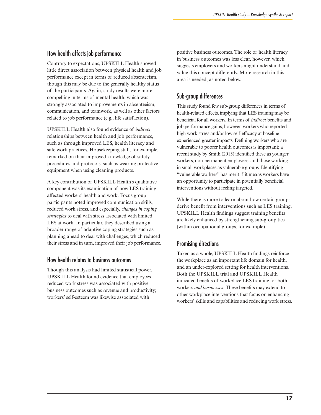# How health affects job performance

Contrary to expectations, UPSKILL Health showed little direct association between physical health and job performance except in terms of reduced absenteeism, though this may be due to the generally healthy status of the participants. Again, study results were more compelling in terms of mental health, which was strongly associated to improvements in absenteeism, communication, and teamwork, as well as other factors related to job performance (e.g., life satisfaction).

UPSKILL Health also found evidence of *indirect* relationships between health and job performance, such as through improved LES, health literacy and safe work practices. Housekeeping staff, for example, remarked on their improved knowledge of safety procedures and protocols, such as wearing protective equipment when using cleaning products.

A key contribution of UPSKILL Health's qualitative component was its examination of how LES training affected workers' health and work. Focus group participants noted improved communication skills, reduced work stress, and especially, *changes in coping strategies* to deal with stress associated with limited LES at work. In particular, they described using a broader range of adaptive coping strategies such as planning ahead to deal with challenges, which reduced their stress and in turn, improved their job performance.

### How health relates to business outcomes

Though this analysis had limited statistical power, UPSKILL Health found evidence that employees' reduced work stress was associated with positive business outcomes such as revenue and productivity; workers' self-esteem was likewise associated with

positive business outcomes. The role of health literacy in business outcomes was less clear, however, which suggests employers and workers might understand and value this concept differently. More research in this area is needed, as noted below.

# Sub-group differences

This study found few sub-group differences in terms of health-related effects, implying that LES training may be beneficial for all workers. In terms of *indirect* benefits and job performance gains, however, workers who reported high work stress and/or low self-efficacy at baseline experienced greater impacts. Defining workers who are vulnerable to poorer health outcomes is important; a recent study by Smith (2015) identified these as younger workers, non-permanent employees, and those working in small workplaces as vulnerable groups. Identifying "vulnerable workers" has merit if it means workers have an opportunity to participate in potentially beneficial interventions without feeling targeted.

While there is more to learn about how certain groups derive benefit from interventions such as LES training, UPSKILL Health findings suggest training benefits are likely enhanced by strengthening sub-group ties (within occupational groups, for example).

# Promising directions

Taken as a whole, UPSKILL Health findings reinforce the workplace as an important life domain for health, and an under-explored setting for health interventions. Both the UPSKILL trial and UPSKILL Health indicated benefits of workplace LES training for both workers *and businesses*. These benefits may extend to other workplace interventions that focus on enhancing workers' skills and capabilities and reducing work stress.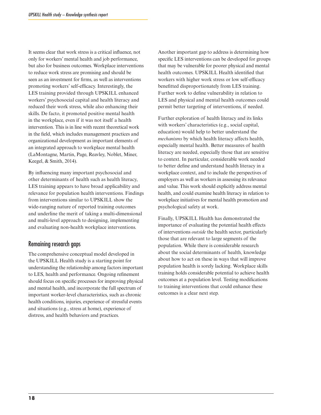It seems clear that work stress is a critical influence, not only for workers' mental health and job performance, but also for business outcomes. Workplace interventions to reduce work stress are promising and should be seen as an investment for firms, as well as interventions promoting workers' self-efficacy. Interestingly, the LES training provided through UPSKILL enhanced workers' psychosocial capital and health literacy and reduced their work stress, while also enhancing their skills. De facto, it promoted positive mental health in the workplace, even if it was not itself a health intervention. This is in line with recent theoretical work in the field, which includes management practices and organizational development as important elements of an integrated approach to workplace mental health (LaMontagne, Martin, Page, Reavley, Noblet, Miner, Keegel, & Smith, 2014).

By influencing many important psychosocial and other determinants of health such as health literacy, LES training appears to have broad applicability and relevance for population health interventions. Findings from interventions similar to UPSKILL show the wide-ranging nature of reported training outcomes and underline the merit of taking a multi-dimensional and multi-level approach to designing, implementing and evaluating non-health workplace interventions.

# Remaining research gaps

The comprehensive conceptual model developed in the UPSKILL Health study is a starting point for understanding the relationship among factors important to LES, health and performance. Ongoing refinement should focus on specific processes for improving physical and mental health, and incorporate the full spectrum of important worker-level characteristics, such as chronic health conditions, injuries, experience of stressful events and situations (e.g., stress at home), experience of distress, and health behaviors and practices.

Another important gap to address is determining how specific LES interventions can be developed for groups that may be vulnerable for poorer physical and mental health outcomes. UPSKILL Health identified that workers with higher work stress or low self-efficacy benefitted disproportionately from LES training. Further work to define vulnerability in relation to LES and physical and mental health outcomes could permit better targeting of interventions, if needed.

Further exploration of health literacy and its links with workers' characteristics (e.g., social capital, education) would help to better understand the *mechanisms* by which health literacy affects health, especially mental health. Better measures of health literacy are needed, especially those that are sensitive to context. In particular, considerable work needed to better define and understand health literacy in a workplace context, and to include the perspectives of employers as well as workers in assessing its relevance and value. This work should explicitly address mental health, and could examine health literacy in relation to workplace initiatives for mental health promotion and psychological safety at work.

Finally, UPSKILL Health has demonstrated the importance of evaluating the potential health effects of interventions *outside* the health sector, particularly those that are relevant to large segments of the population. While there is considerable research about the social determinants of health, knowledge about how to act on these in ways that will improve population health is sorely lacking. Workplace skills training holds considerable potential to achieve health outcomes at a population level. Testing modifications to training interventions that could enhance these outcomes is a clear next step.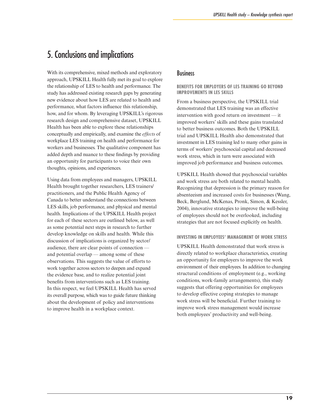# 5. Conclusions and implications

With its comprehensive, mixed methods and exploratory approach, UPSKILL Health fully met its goal to explore the relationship of LES to health and performance. The study has addressed existing research gaps by generating new evidence about how LES are related to health and performance, what factors influence this relationship, how, and for whom. By leveraging UPSKILL's rigorous research design and comprehensive dataset, UPSKILL Health has been able to explore these relationships conceptually and empirically, and examine the *effects* of workplace LES training on health and performance for workers and businesses. The qualitative component has added depth and nuance to these findings by providing an opportunity for participants to voice their own thoughts, opinions, and experiences.

Using data from employees and managers, UPSKILL Health brought together researchers, LES trainers/ practitioners, and the Public Health Agency of Canada to better understand the connections between LES skills, job performance, and physical and mental health. Implications of the UPSKILL Health project for each of these sectors are outlined below, as well as some potential next steps in research to further develop knowledge on skills and health. While this discussion of implications is organized by sector/ audience, there are clear points of connection and potential overlap — among some of these observations. This suggests the value of efforts to work together across sectors to deepen and expand the evidence base, and to realize potential joint benefits from interventions such as LES training. In this respect, we feel UPSKILL Health has served its overall purpose, which was to guide future thinking about the development of policy and interventions to improve health in a workplace context.

### **Business**

### **BENEFITS FOR EMPLOYERS OF LES TRAINING GO BEYOND IMPROVEMENTS IN LES SKILLS**

From a business perspective, the UPSKILL trial demonstrated that LES training was an effective intervention with good return on investment — it improved workers' skills and these gains translated to better business outcomes. Both the UPSKILL trial and UPSKILL Health also demonstrated that investment in LES training led to many other gains in terms of workers' psychosocial capital and decreased work stress, which in turn were associated with improved job performance and business outcomes.

UPSKILL Health showed that psychosocial variables and work stress are both related to mental health. Recognizing that depression is the primary reason for absenteeism and increased costs for businesses (Wang, Beck, Berglund, McKenas, Pronk, Simon, & Kessler, 2004), innovative strategies to improve the well-being of employees should not be overlooked, including strategies that are not focused explicitly on health.

### **INVESTING IN EMPLOYEES' MANAGEMENT OF WORK STRESS**

UPSKILL Health demonstrated that work stress is directly related to workplace characteristics, creating an opportunity for employers to improve the work environment of their employees. In addition to changing structural conditions of employment (e.g., working conditions, work-family arrangements), this study suggests that offering opportunities for employees to develop effective coping strategies to manage work stress will be beneficial. Further training to improve work stress management would increase both employees' productivity and well-being.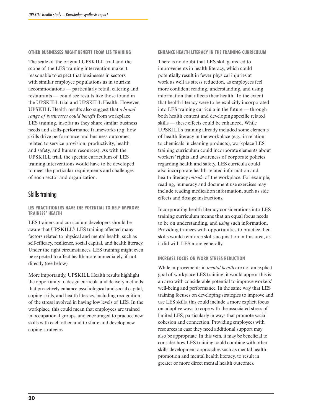#### **OTHER BUSINESSES MIGHT BENEFIT FROM LES TRAINING**

The scale of the original UPSKILL trial and the scope of the LES training intervention make it reasonable to expect that businesses in sectors with similar employee populations as in tourism accommodations — particularly retail, catering and restaurants — could see results like those found in the UPSKILL trial and UPSKILL Health. However, UPSKILL Health results also suggest that *a broad range of businesses could benefit* from workplace LES training, insofar as they share similar business needs and skills-performance frameworks (e.g. how skills drive performance and business outcomes related to service provision, productivity, health and safety, and human resources). As with the UPSKILL trial, the specific curriculum of LES training interventions would have to be developed to meet the particular requirements and challenges of each sector and organization.

### Skills training

### **LES PRACTITIONERS HAVE THE POTENTIAL TO HELP IMPROVE TRAINEES' HEALTH**

LES trainers and curriculum developers should be aware that UPSKILL's LES training affected many factors related to physical and mental health, such as self-efficacy, resilience, social capital, and health literacy. Under the right circumstances, LES training might even be expected to affect health more immediately, if not directly (see below).

More importantly, UPSKILL Health results highlight the opportunity to design curricula and delivery methods that proactively enhance psychological and social capital, coping skills, and health literacy, including recognition of the stress involved in having low levels of LES. In the workplace, this could mean that employees are trained in occupational groups, and encouraged to practice new skills with each other, and to share and develop new coping strategies.

#### **ENHANCE HEALTH LITERACY IN THE TRAINING CURRICULUM**

There is no doubt that LES skill gains led to improvements in health literacy, which could potentially result in fewer physical injuries at work as well as stress reduction, as employees feel more confident reading, understanding, and using information that affects their health. To the extent that health literacy were to be explicitly incorporated into LES training curricula in the future — through both health content and developing specific related skills — these effects could be enhanced. While UPSKILL's training already included some elements of health literacy in the workplace (e.g., in relation to chemicals in cleaning products), workplace LES training curriculum could incorporate elements about workers' rights and awareness of corporate policies regarding health and safety. LES curricula could also incorporate health-related information and health literacy *outside* of the workplace. For example, reading, numeracy and document use exercises may include reading medication information, such as side effects and dosage instructions.

Incorporating health literacy considerations into LES training curriculum means that an equal focus needs to be on understanding, and *using* such information. Providing trainees with opportunities to practice their skills would reinforce skills acquisition in this area, as it did with LES more generally.

#### **INCREASE FOCUS ON WORK STRESS REDUCTION**

While improvements in *mental health* are not an explicit goal of workplace LES training, it would appear this is an area with considerable potential to improve workers' well-being and performance. In the same way that LES training focuses on developing strategies to improve and use LES skills, this could include a more explicit focus on adaptive ways to cope with the associated stress of limited LES, particularly in ways that promote social cohesion and connection. Providing employees with resources in case they need additional support may also be appropriate. In this vein, it may be beneficial to consider how LES training could combine with other skills development approaches such as mental health promotion and mental health literacy, to result in greater or more direct mental health outcomes.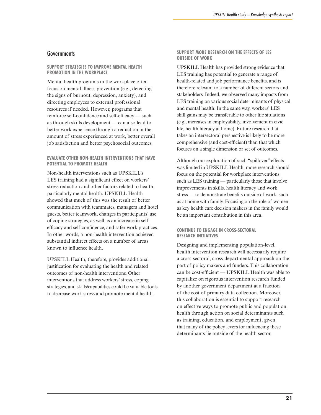### **Governments**

#### **SUPPORT STRATEGIES TO IMPROVE MENTAL HEALTH PROMOTION IN THE WORKPLACE**

Mental health programs in the workplace often focus on mental illness prevention (e.g., detecting the signs of burnout, depression, anxiety), and directing employees to external professional resources if needed. However, programs that reinforce self-confidence and self-efficacy — such as through skills development — can also lead to better work experience through a reduction in the amount of stress experienced at work, better overall job satisfaction and better psychosocial outcomes.

### **EVALUATE OTHER NON-HEALTH INTERVENTIONS THAT HAVE POTENTIAL TO PROMOTE HEALTH**

Non-health interventions such as UPSKILL's LES training had a significant effect on workers' stress reduction and other factors related to health, particularly mental health. UPSKILL Health showed that much of this was the result of better communication with teammates, managers and hotel guests, better teamwork, changes in participants' use of coping strategies, as well as an increase in selfefficacy and self-confidence, and safer work practices. In other words, a non-health intervention achieved substantial indirect effects on a number of areas known to influence health.

UPSKILL Health, therefore, provides additional justification for evaluating the health and related outcomes of non-health interventions. Other interventions that address workers' stress, coping strategies, and skills/capabilities could be valuable tools to decrease work stress and promote mental health.

### **SUPPORT MORE RESEARCH ON THE EFFECTS OF LES OUTSIDE OF WORK**

UPSKILL Health has provided strong evidence that LES training has potential to generate a range of health-related and job performance benefits, and is therefore relevant to a number of different sectors and stakeholders. Indeed, we observed many impacts from LES training on various social determinants of physical and mental health. In the same way, workers' LES skill gains may be transferable to other life situations (e.g., increases in employability, involvement in civic life, health literacy at home). Future research that takes an intersectoral perspective is likely to be more comprehensive (and cost-efficient) than that which focuses on a single dimension or set of outcomes.

Although our exploration of such "spillover" effects was limited in UPSKILL Health, more research should focus on the potential for workplace interventions such as LES training — particularly those that involve improvements in skills, health literacy and work stress — to demonstrate benefits outside of work, such as at home with family. Focusing on the role of women as key health care decision makers in the family would be an important contribution in this area.

### **CONTINUE TO ENGAGE IN CROSS-SECTORAL RESEARCH INITIATIVES**

Designing and implementing population-level, health intervention research will necessarily require a cross-sectoral, cross-departmental approach on the part of policy makers and funders. This collaboration can be cost-efficient — UPSKILL Health was able to capitalize on rigorous intervention research funded by another government department at a fraction of the cost of primary data collection. Moreover, this collaboration is essential to support research on effective ways to promote public and population health through action on social determinants such as training, education, and employment, given that many of the policy levers for influencing these determinants lie outside of the health sector.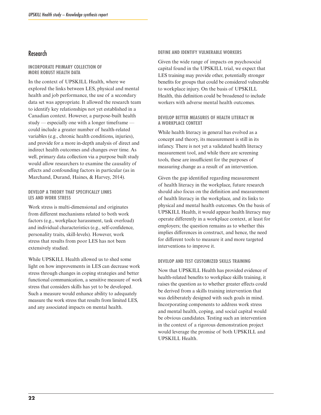### Research

#### **INCORPORATE PRIMARY COLLECTION OF MORE ROBUST HEALTH DATA**

In the context of UPSKILL Health, where we explored the links between LES, physical and mental health and job performance, the use of a secondary data set was appropriate. It allowed the research team to identify key relationships not yet established in a Canadian context. However, a purpose-built health study — especially one with a longer timeframe could include a greater number of health-related variables (e.g., chronic health conditions, injuries), and provide for a more in-depth analysis of direct and indirect health outcomes and changes over time. As well, primary data collection via a purpose built study would allow researchers to examine the causality of effects and confounding factors in particular (as in Marchand, Durand, Haines, & Harvey, 2014).

#### **DEVELOP A THEORY THAT SPECIFICALLY LINKS LES AND WORK STRESS**

Work stress is multi-dimensional and originates from different mechanisms related to both work factors (e.g., workplace harassment, task overload) and individual characteristics (e.g., self-confidence, personality traits, skill-levels). However, work stress that results from poor LES has not been extensively studied.

While UPSKILL Health allowed us to shed some light on how improvements in LES can decrease work stress through changes in coping strategies and better functional communication, a sensitive measure of work stress that considers skills has yet to be developed. Such a measure would enhance ability to adequately measure the work stress that results from limited LES, and any associated impacts on mental health.

#### **DEFINE AND IDENTIFY VULNERABLE WORKERS**

Given the wide range of impacts on psychosocial capital found in the UPSKILL trial, we expect that LES training may provide other, potentially stronger benefits for groups that could be considered vulnerable to workplace injury. On the basis of UPSKILL Health, this definition could be broadened to include workers with adverse mental health outcomes.

### **DEVELOP BETTER MEASURES OF HEALTH LITERACY IN A WORKPLACE CONTEXT**

While health literacy in general has evolved as a concept and theory, its measurement is still in its infancy. There is not yet a validated health literacy measurement tool, and while there are screening tools, these are insufficient for the purposes of measuring change as a result of an intervention.

Given the gap identified regarding measurement of health literacy in the workplace, future research should also focus on the definition and measurement of health literacy in the workplace, and its links to physical and mental health outcomes. On the basis of UPSKILL Health, it would appear health literacy may operate differently in a workplace context, at least for employers; the question remains as to whether this implies differences in construct, and hence, the need for different tools to measure it and more targeted interventions to improve it.

### **DEVELOP AND TEST CUSTOMIZED SKILLS TRAINING**

Now that UPSKILL Health has provided evidence of health-related benefits to workplace skills training, it raises the question as to whether greater effects could be derived from a skills training intervention that was deliberately designed with such goals in mind. Incorporating components to address work stress and mental health, coping, and social capital would be obvious candidates. Testing such an intervention in the context of a rigorous demonstration project would leverage the promise of both UPSKILL and UPSKILL Health.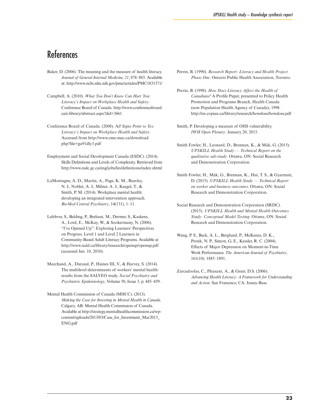### *UPSKILL Health study – Knowledge synthesis report*

# References

- Baker, D. (2006). The meaning and the measure of health literacy. *Journal of General Internal Medicine, 21*, 878–883. Available at:<http://www.ncbi.nlm.nih.gov/pmc/articles/PMC1831571>/
- Campbell, A. (2010). *What You Don't Know Can Hurt You: Literacy's Impact on Workplace Health and Safety*. Conference Board of Canada. [http://www.conferenceboard.](http://www.conferenceboard.ca/e-library/abstract.aspx?did=3661) [ca/e-library/abstract.aspx?did=3661](http://www.conferenceboard.ca/e-library/abstract.aspx?did=3661)
- Conference Board of Canada. (2008). A*ll Signs Point to Yes: Literacy's Impact on Workplace Health and Safety*. Accessed from [http://www.cme-mec.ca/download.](http://www.cme-mec.ca/download.php?file=ga91dly3.pdf) [php?file=ga91dly3.pdf](http://www.cme-mec.ca/download.php?file=ga91dly3.pdf)
- Employment and Social Development Canada (ESDC). (2014). Skills Definitions and Levels of Complexity. Retrieved from <http://www.esdc.gc.ca/eng/jobs/les/definitions/index.shtml>
- LaMontagne, A. D., Martin, A., Page, K. M., Reavley, N. J., Noblet, A. J., Milner, A. J., Keegel, T., & Smith, P. M. (2014). Workplace mental health: developing an integrated intervention approach. *BioMed Central Psychiatry*, 14(131), 1–11.
- Lefebvre, S., Belding, P., Brehaut, M., Dermer, S., Kaskens, A., Lord, E., McKay, W., & Sookermany, N. (2006). "I've Opened Up": Exploring Learners' Perspectives on Progress. Level 1 and Level 2 Learners in Community-Based Adult Literacy Programs. Available at <http://www.nald.ca/library/research/openup/openup.pdf> (accessed Jan. 10, 2010).
- Marchand, A., Durand, P., Haines III, V., & Harvey, S. (2014). The multilevel determinants of workers' mental health: results from the SALVEO study. *Social Psychiatry and Psychiatric Epidemiology*, Volume 50, Issue 3, p. 445–459.
- Mental Health Commission of Canada (MHCC). (2013). *Making the Case for Investing in Mental Health in Canada*. Calgary, AB: Mental Health Commission of Canada. Available at [http://strategy.mentalhealthcommission.ca/wp](http://strategy.mentalhealthcommission.ca/wp-content/uploads/2013/03/Case_for_Investment_Mar2013_ENG.pdf)[content/uploads/2013/03/Case\\_for\\_Investment\\_Mar2013\\_](http://strategy.mentalhealthcommission.ca/wp-content/uploads/2013/03/Case_for_Investment_Mar2013_ENG.pdf) [ENG.pdf](http://strategy.mentalhealthcommission.ca/wp-content/uploads/2013/03/Case_for_Investment_Mar2013_ENG.pdf)
- Perrin, B. (1990). *Research Report: Literacy and Health Project Phase One*. Ontario Public Health Association, Toronto.
- Perrin, B. (1998). *How Does Literacy Affect the Health of Canadians?* A Profile Paper, presented to Policy Health Promotion and Programs Branch, Health Canada (now Population Health Agency of Canada), 1998. <http://en.copian.ca/library/research/howdoes/howdoes.pdf>
- Smith, P. Developing a measure of OHS vulnerability. *IWH Open Plenary*. January 20, 2015.
- Smith Fowler, H., Leonard, D., Brennan, K., & Mák, G. (2015). *UPSKILL Health Study — Technical Report on the qualitative sub-study*. Ottawa, ON: Social Research and Demonstration Corporation.
- Smith Fowler, H., Mák, G., Brennan, K., Hui, T. S., & Gyarmati, D. (2015). *UPSKILL Health Study — Technical Report on worker and business outcomes*. Ottawa, ON: Social Research and Demonstration Corporation.
- Social Research and Demonstration Corporation (SRDC). (2015). *UPSKILL Health and Mental Health Outcomes Study: Conceptual Model Testing*. Ottawa, ON: Social Research and Demonstration Corporation.
- Wang, P. S., Beck, A. L., Berglund, P., McKenas, D. K., Pronk, N. P., Simon, G. E., Kessler, R. C. (2004). Effects of Major Depression on Moment-in-Time Work Performance. *The American Journal of Psychiatry*, 161(10): 1885–1891.
- Zarcadoolas, C., Pleasant, A., & Greer, D.S. (2006). *Advancing Health Literacy: A Framework for Understanding and Action*. San Francisco, CA: Jossey-Bass.